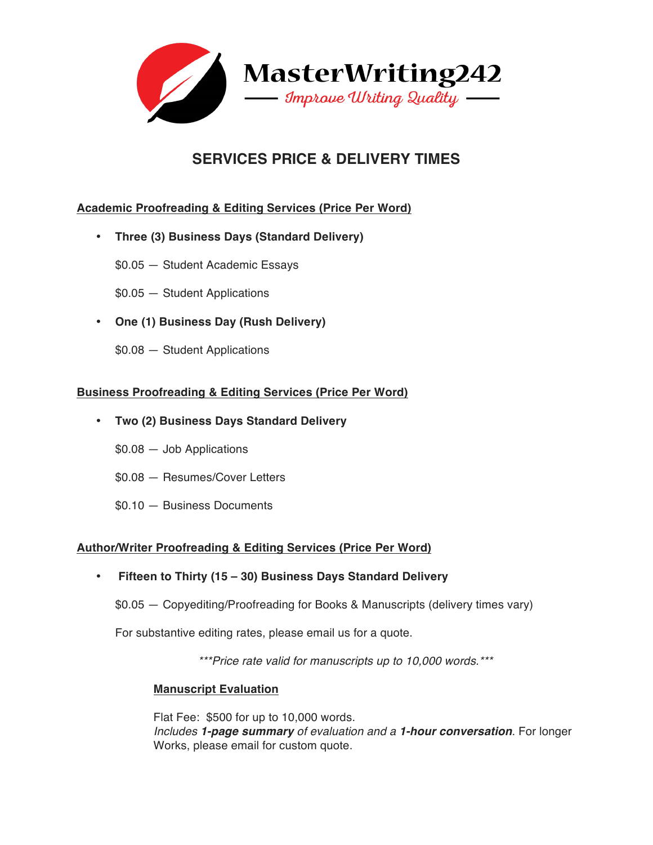

# **SERVICES PRICE & DELIVERY TIMES**

# **Academic Proofreading & Editing Services (Price Per Word)**

- **Three (3) Business Days (Standard Delivery)**
	- \$0.05 Student Academic Essays
	- \$0.05 Student Applications
- **One (1) Business Day (Rush Delivery)**
	- \$0.08 Student Applications

## **Business Proofreading & Editing Services (Price Per Word)**

- **Two (2) Business Days Standard Delivery**
	- \$0.08 Job Applications
	- \$0.08 Resumes/Cover Letters
	- \$0.10 Business Documents

# **Author/Writer Proofreading & Editing Services (Price Per Word)**

# • **Fifteen to Thirty (15 – 30) Business Days Standard Delivery**

\$0.05 — Copyediting/Proofreading for Books & Manuscripts (delivery times vary)

For substantive editing rates, please email us for a quote.

*\*\*\*Price rate valid for manuscripts up to 10,000 words.\*\*\**

### **Manuscript Evaluation**

Flat Fee: \$500 for up to 10,000 words. *Includes 1-page summary of evaluation and a 1-hour conversation*. For longer Works, please email for custom quote.